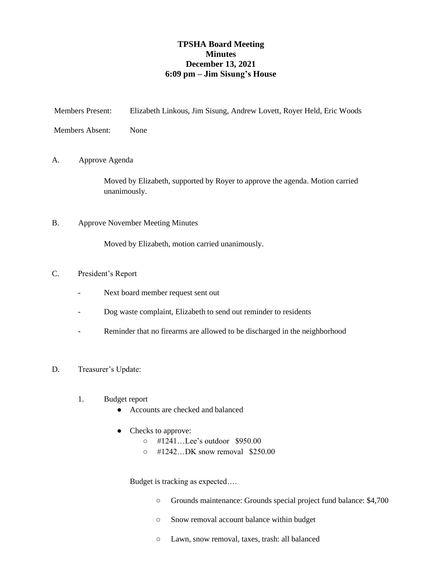### **TPSHA Board Meeting Minutes December 13, 2021 6:09 pm – Jim Sisung's House**

| <b>Members Present:</b> |                 | Elizabeth Linkous, Jim Sisung, Andrew Lovett, Royer Held, Eric Woods         |  |
|-------------------------|-----------------|------------------------------------------------------------------------------|--|
|                         | Members Absent: | None                                                                         |  |
| А.                      |                 | Approve Agenda                                                               |  |
|                         | unanimously.    | Moved by Elizabeth, supported by Royer to approve the agenda. Motion carried |  |
| B.                      |                 | <b>Approve November Meeting Minutes</b>                                      |  |

Moved by Elizabeth, motion carried unanimously.

#### C. President's Report

- Next board member request sent out
- Dog waste complaint, Elizabeth to send out reminder to residents
- Reminder that no firearms are allowed to be discharged in the neighborhood
- D. Treasurer's Update:
	- 1. Budget report
		- Accounts are checked and balanced
		- Checks to approve:
			- #1241…Lee's outdoor \$950.00
			- #1242…DK snow removal \$250.00

Budget is tracking as expected….

- Grounds maintenance: Grounds special project fund balance: \$4,700
- Snow removal account balance within budget
- Lawn, snow removal, taxes, trash: all balanced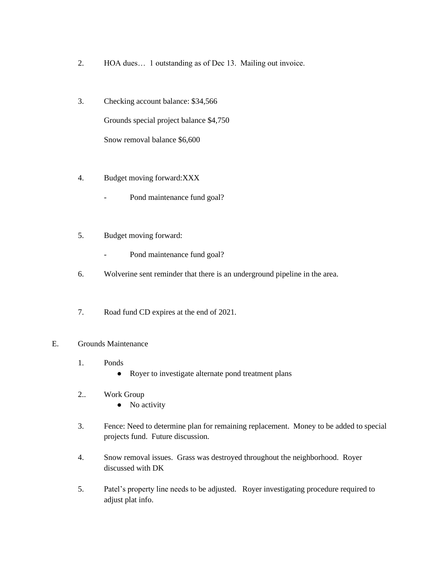- 2. HOA dues… 1 outstanding as of Dec 13. Mailing out invoice.
- 3. Checking account balance: \$34,566 Grounds special project balance \$4,750 Snow removal balance \$6,600
- 4. Budget moving forward:XXX
	- Pond maintenance fund goal?
- 5. Budget moving forward:
	- Pond maintenance fund goal?
- 6. Wolverine sent reminder that there is an underground pipeline in the area.
- 7. Road fund CD expires at the end of 2021.

#### E. Grounds Maintenance

- 1. Ponds
	- Royer to investigate alternate pond treatment plans
- 2.. Work Group
	- No activity
- 3. Fence: Need to determine plan for remaining replacement. Money to be added to special projects fund. Future discussion.
- 4. Snow removal issues. Grass was destroyed throughout the neighborhood. Royer discussed with DK
- 5. Patel's property line needs to be adjusted. Royer investigating procedure required to adjust plat info.